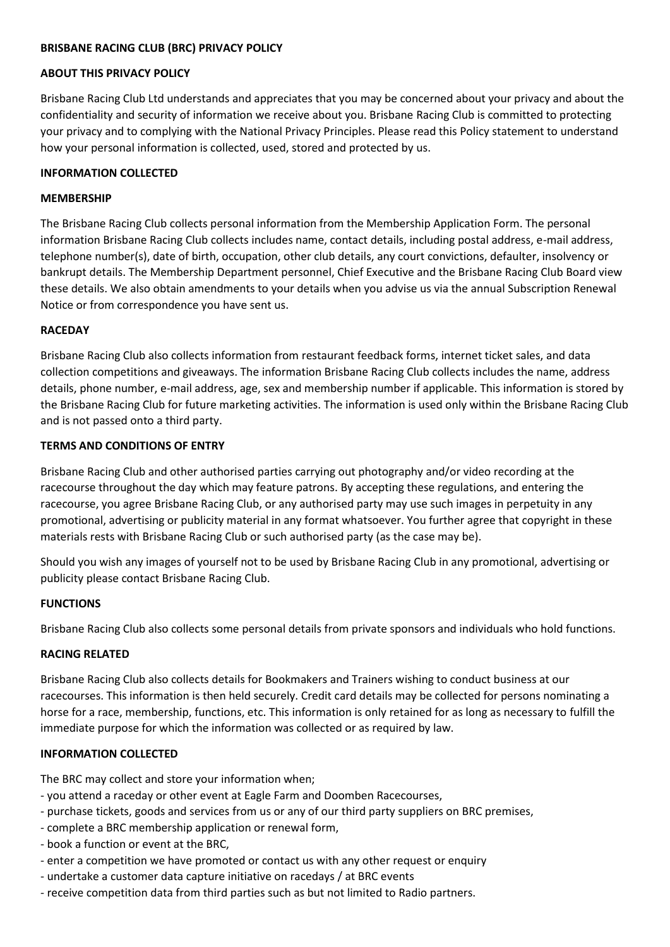## **BRISBANE RACING CLUB (BRC) PRIVACY POLICY**

### **ABOUT THIS PRIVACY POLICY**

Brisbane Racing Club Ltd understands and appreciates that you may be concerned about your privacy and about the confidentiality and security of information we receive about you. Brisbane Racing Club is committed to protecting your privacy and to complying with the National Privacy Principles. Please read this Policy statement to understand how your personal information is collected, used, stored and protected by us.

## **INFORMATION COLLECTED**

### **MEMBERSHIP**

The Brisbane Racing Club collects personal information from the Membership Application Form. The personal information Brisbane Racing Club collects includes name, contact details, including postal address, e-mail address, telephone number(s), date of birth, occupation, other club details, any court convictions, defaulter, insolvency or bankrupt details. The Membership Department personnel, Chief Executive and the Brisbane Racing Club Board view these details. We also obtain amendments to your details when you advise us via the annual Subscription Renewal Notice or from correspondence you have sent us.

## **RACEDAY**

Brisbane Racing Club also collects information from restaurant feedback forms, internet ticket sales, and data collection competitions and giveaways. The information Brisbane Racing Club collects includes the name, address details, phone number, e-mail address, age, sex and membership number if applicable. This information is stored by the Brisbane Racing Club for future marketing activities. The information is used only within the Brisbane Racing Club and is not passed onto a third party.

## **TERMS AND CONDITIONS OF ENTRY**

Brisbane Racing Club and other authorised parties carrying out photography and/or video recording at the racecourse throughout the day which may feature patrons. By accepting these regulations, and entering the racecourse, you agree Brisbane Racing Club, or any authorised party may use such images in perpetuity in any promotional, advertising or publicity material in any format whatsoever. You further agree that copyright in these materials rests with Brisbane Racing Club or such authorised party (as the case may be).

Should you wish any images of yourself not to be used by Brisbane Racing Club in any promotional, advertising or publicity please contact Brisbane Racing Club.

### **FUNCTIONS**

Brisbane Racing Club also collects some personal details from private sponsors and individuals who hold functions.

# **RACING RELATED**

Brisbane Racing Club also collects details for Bookmakers and Trainers wishing to conduct business at our racecourses. This information is then held securely. Credit card details may be collected for persons nominating a horse for a race, membership, functions, etc. This information is only retained for as long as necessary to fulfill the immediate purpose for which the information was collected or as required by law.

# **INFORMATION COLLECTED**

The BRC may collect and store your information when;

- you attend a raceday or other event at Eagle Farm and Doomben Racecourses,
- purchase tickets, goods and services from us or any of our third party suppliers on BRC premises,
- complete a BRC membership application or renewal form,
- book a function or event at the BRC,
- enter a competition we have promoted or contact us with any other request or enquiry
- undertake a customer data capture initiative on racedays / at BRC events
- receive competition data from third parties such as but not limited to Radio partners.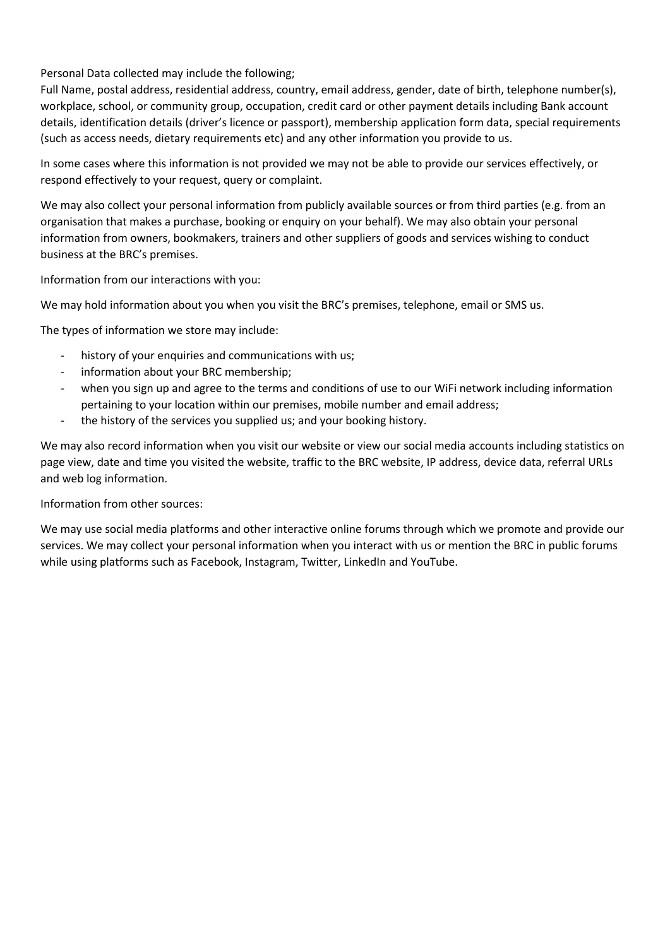Personal Data collected may include the following;

Full Name, postal address, residential address, country, email address, gender, date of birth, telephone number(s), workplace, school, or community group, occupation, credit card or other payment details including Bank account details, identification details (driver's licence or passport), membership application form data, special requirements (such as access needs, dietary requirements etc) and any other information you provide to us.

In some cases where this information is not provided we may not be able to provide our services effectively, or respond effectively to your request, query or complaint.

We may also collect your personal information from publicly available sources or from third parties (e.g. from an organisation that makes a purchase, booking or enquiry on your behalf). We may also obtain your personal information from owners, bookmakers, trainers and other suppliers of goods and services wishing to conduct business at the BRC's premises.

Information from our interactions with you:

We may hold information about you when you visit the BRC's premises, telephone, email or SMS us.

The types of information we store may include:

- history of your enquiries and communications with us;
- information about your BRC membership;
- when you sign up and agree to the terms and conditions of use to our WiFi network including information pertaining to your location within our premises, mobile number and email address;
- the history of the services you supplied us; and your booking history.

We may also record information when you visit our website or view our social media accounts including statistics on page view, date and time you visited the website, traffic to the BRC website, IP address, device data, referral URLs and web log information.

# Information from other sources:

We may use social media platforms and other interactive online forums through which we promote and provide our services. We may collect your personal information when you interact with us or mention the BRC in public forums while using platforms such as Facebook, Instagram, Twitter, LinkedIn and YouTube.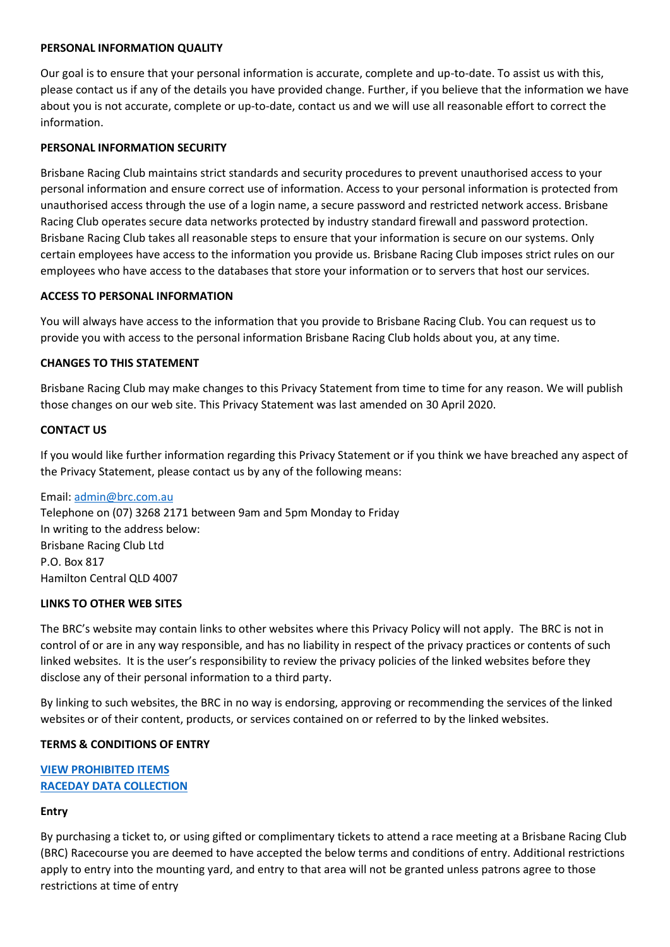### **PERSONAL INFORMATION QUALITY**

Our goal is to ensure that your personal information is accurate, complete and up-to-date. To assist us with this, please contact us if any of the details you have provided change. Further, if you believe that the information we have about you is not accurate, complete or up-to-date, contact us and we will use all reasonable effort to correct the information.

### **PERSONAL INFORMATION SECURITY**

Brisbane Racing Club maintains strict standards and security procedures to prevent unauthorised access to your personal information and ensure correct use of information. Access to your personal information is protected from unauthorised access through the use of a login name, a secure password and restricted network access. Brisbane Racing Club operates secure data networks protected by industry standard firewall and password protection. Brisbane Racing Club takes all reasonable steps to ensure that your information is secure on our systems. Only certain employees have access to the information you provide us. Brisbane Racing Club imposes strict rules on our employees who have access to the databases that store your information or to servers that host our services.

#### **ACCESS TO PERSONAL INFORMATION**

You will always have access to the information that you provide to Brisbane Racing Club. You can request us to provide you with access to the personal information Brisbane Racing Club holds about you, at any time.

#### **CHANGES TO THIS STATEMENT**

Brisbane Racing Club may make changes to this Privacy Statement from time to time for any reason. We will publish those changes on our web site. This Privacy Statement was last amended on 30 April 2020.

#### **CONTACT US**

If you would like further information regarding this Privacy Statement or if you think we have breached any aspect of the Privacy Statement, please contact us by any of the following means:

Email: [admin@brc.com.au](mailto:admin@brc.com.au) Telephone on (07) 3268 2171 between 9am and 5pm Monday to Friday In writing to the address below: Brisbane Racing Club Ltd P.O. Box 817 Hamilton Central QLD 4007

### **LINKS TO OTHER WEB SITES**

The BRC's website may contain links to other websites where this Privacy Policy will not apply. The BRC is not in control of or are in any way responsible, and has no liability in respect of the privacy practices or contents of such linked websites. It is the user's responsibility to review the privacy policies of the linked websites before they disclose any of their personal information to a third party.

By linking to such websites, the BRC in no way is endorsing, approving or recommending the services of the linked websites or of their content, products, or services contained on or referred to by the linked websites.

### **TERMS & CONDITIONS OF ENTRY**

# **[VIEW PROHIBITED ITEMS](https://www.brc.com.au/ArticleDocuments/385/Conditions%20of%20Entry.pdf.aspx?Embed=Y) [RACEDAY DATA COLLECTION](https://www.brc.com.au/ArticleDocuments/385/Data-Collection-Policy.pdf.aspx)**

### **Entry**

By purchasing a ticket to, or using gifted or complimentary tickets to attend a race meeting at a Brisbane Racing Club (BRC) Racecourse you are deemed to have accepted the below terms and conditions of entry. Additional restrictions apply to entry into the mounting yard, and entry to that area will not be granted unless patrons agree to those restrictions at time of entry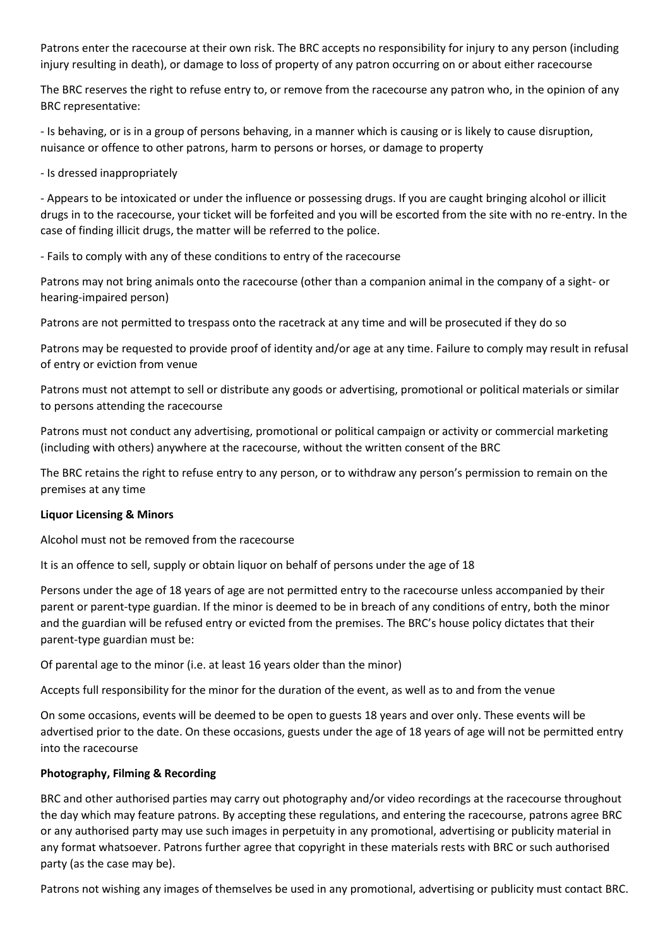Patrons enter the racecourse at their own risk. The BRC accepts no responsibility for injury to any person (including injury resulting in death), or damage to loss of property of any patron occurring on or about either racecourse

The BRC reserves the right to refuse entry to, or remove from the racecourse any patron who, in the opinion of any BRC representative:

- Is behaving, or is in a group of persons behaving, in a manner which is causing or is likely to cause disruption, nuisance or offence to other patrons, harm to persons or horses, or damage to property

- Is dressed inappropriately

- Appears to be intoxicated or under the influence or possessing drugs. If you are caught bringing alcohol or illicit drugs in to the racecourse, your ticket will be forfeited and you will be escorted from the site with no re-entry. In the case of finding illicit drugs, the matter will be referred to the police.

- Fails to comply with any of these conditions to entry of the racecourse

Patrons may not bring animals onto the racecourse (other than a companion animal in the company of a sight- or hearing-impaired person)

Patrons are not permitted to trespass onto the racetrack at any time and will be prosecuted if they do so

Patrons may be requested to provide proof of identity and/or age at any time. Failure to comply may result in refusal of entry or eviction from venue

Patrons must not attempt to sell or distribute any goods or advertising, promotional or political materials or similar to persons attending the racecourse

Patrons must not conduct any advertising, promotional or political campaign or activity or commercial marketing (including with others) anywhere at the racecourse, without the written consent of the BRC

The BRC retains the right to refuse entry to any person, or to withdraw any person's permission to remain on the premises at any time

# **Liquor Licensing & Minors**

Alcohol must not be removed from the racecourse

It is an offence to sell, supply or obtain liquor on behalf of persons under the age of 18

Persons under the age of 18 years of age are not permitted entry to the racecourse unless accompanied by their parent or parent-type guardian. If the minor is deemed to be in breach of any conditions of entry, both the minor and the guardian will be refused entry or evicted from the premises. The BRC's house policy dictates that their parent-type guardian must be:

Of parental age to the minor (i.e. at least 16 years older than the minor)

Accepts full responsibility for the minor for the duration of the event, as well as to and from the venue

On some occasions, events will be deemed to be open to guests 18 years and over only. These events will be advertised prior to the date. On these occasions, guests under the age of 18 years of age will not be permitted entry into the racecourse

# **Photography, Filming & Recording**

BRC and other authorised parties may carry out photography and/or video recordings at the racecourse throughout the day which may feature patrons. By accepting these regulations, and entering the racecourse, patrons agree BRC or any authorised party may use such images in perpetuity in any promotional, advertising or publicity material in any format whatsoever. Patrons further agree that copyright in these materials rests with BRC or such authorised party (as the case may be).

Patrons not wishing any images of themselves be used in any promotional, advertising or publicity must contact BRC.